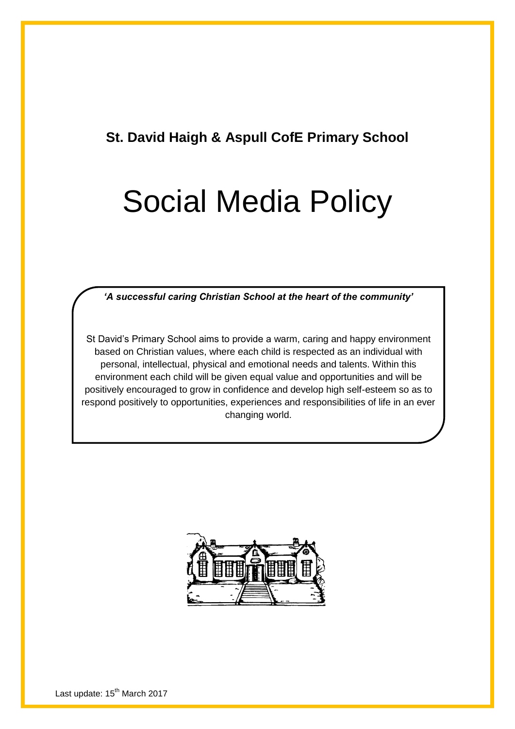## **St. David Haigh & Aspull CofE Primary School**

# Social Media Policy

*'A successful caring Christian School at the heart of the community'*

St David"s Primary School aims to provide a warm, caring and happy environment based on Christian values, where each child is respected as an individual with personal, intellectual, physical and emotional needs and talents. Within this environment each child will be given equal value and opportunities and will be positively encouraged to grow in confidence and develop high self-esteem so as to respond positively to opportunities, experiences and responsibilities of life in an ever changing world.

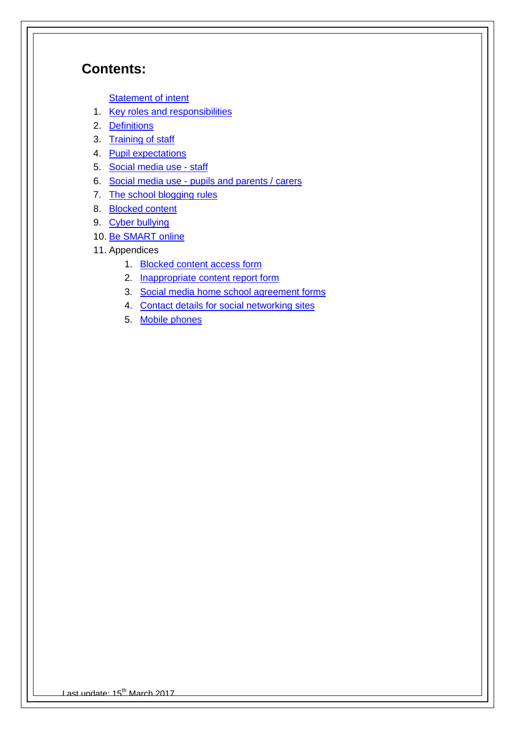## **Contents:**

**[Statement of intent](#page-2-0)** 

- 1. [Key roles and responsibilities](#page-2-0)
- 2. [Definitions](#page-3-0)
- 3. [Training of staff](#page-4-0)
- 4. [Pupil expectations](#page-4-1)
- 5. [Social media use -](#page-4-2) staff
- 6. Social media use [pupils and parents / carers](#page-5-0)
- 7. [The school blogging rules](#page-6-0)
- 8. [Blocked content](#page-6-0)
- 9. [Cyber bullying](#page-6-1)
- 10. [Be SMART online](#page-7-0)
- 11. Appendices
	- 1. [Blocked content access form](#page-8-0)
	- 2. **[Inappropriate content report form](#page-8-1)**
	- 3. [Social media home school agreement forms](#page-10-0)
	- 4. [Contact details for social networking sites](#page-11-0)
	- 5. [Mobile phones](#page-12-0)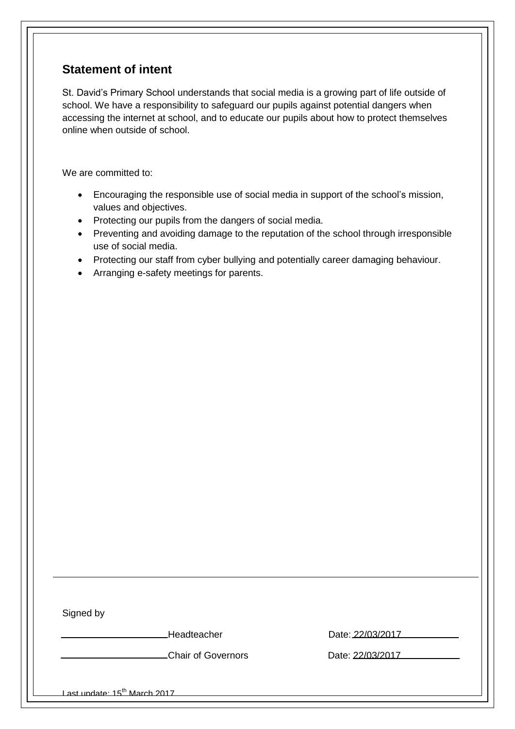## <span id="page-2-0"></span>**Statement of intent**

St. David"s Primary School understands that social media is a growing part of life outside of school. We have a responsibility to safeguard our pupils against potential dangers when accessing the internet at school, and to educate our pupils about how to protect themselves online when outside of school.

We are committed to:

- Encouraging the responsible use of social media in support of the school"s mission, values and objectives.
- Protecting our pupils from the dangers of social media.
- Preventing and avoiding damage to the reputation of the school through irresponsible use of social media.
- Protecting our staff from cyber bullying and potentially career damaging behaviour.
- Arranging e-safety meetings for parents.

Signed by

Headteacher Date: 22/03/2017

Chair of Governors Date: 22/03/2017

Last update: 15<sup>th</sup> March 2017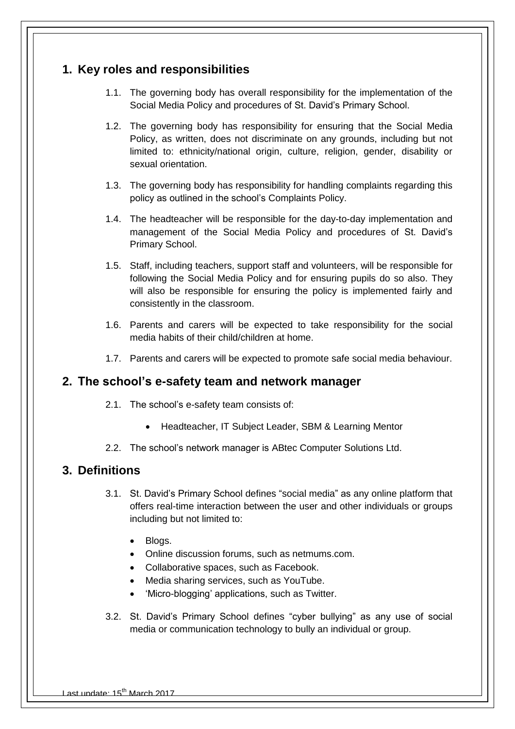### **1. Key roles and responsibilities**

- 1.1. The governing body has overall responsibility for the implementation of the Social Media Policy and procedures of St. David"s Primary School.
- 1.2. The governing body has responsibility for ensuring that the Social Media Policy, as written, does not discriminate on any grounds, including but not limited to: ethnicity/national origin, culture, religion, gender, disability or sexual orientation.
- 1.3. The governing body has responsibility for handling complaints regarding this policy as outlined in the school"s Complaints Policy.
- 1.4. The headteacher will be responsible for the day-to-day implementation and management of the Social Media Policy and procedures of St. David"s Primary School.
- 1.5. Staff, including teachers, support staff and volunteers, will be responsible for following the Social Media Policy and for ensuring pupils do so also. They will also be responsible for ensuring the policy is implemented fairly and consistently in the classroom.
- 1.6. Parents and carers will be expected to take responsibility for the social media habits of their child/children at home.
- 1.7. Parents and carers will be expected to promote safe social media behaviour.

#### <span id="page-3-0"></span>**2. The school's e-safety team and network manager**

- 2.1. The school"s e-safety team consists of:
	- Headteacher, IT Subject Leader, SBM & Learning Mentor
- 2.2. The school"s network manager is ABtec Computer Solutions Ltd.

#### **3. Definitions**

- 3.1. St. David"s Primary School defines "social media" as any online platform that offers real-time interaction between the user and other individuals or groups including but not limited to:
	- Blogs.
	- Online discussion forums, such as netmums.com.
	- Collaborative spaces, such as Facebook.
	- Media sharing services, such as YouTube.
	- 'Micro-blogging' applications, such as Twitter.
- 3.2. St. David"s Primary School defines "cyber bullying" as any use of social media or communication technology to bully an individual or group.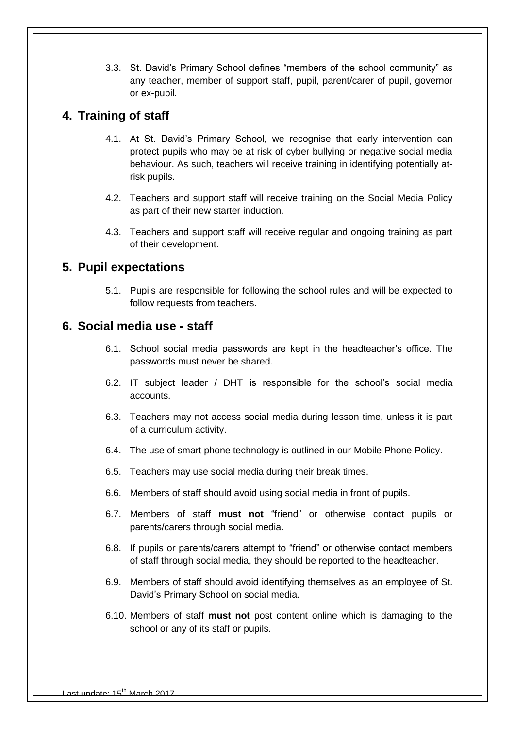3.3. St. David"s Primary School defines "members of the school community" as any teacher, member of support staff, pupil, parent/carer of pupil, governor or ex-pupil.

#### <span id="page-4-0"></span>**4. Training of staff**

- 4.1. At St. David"s Primary School, we recognise that early intervention can protect pupils who may be at risk of cyber bullying or negative social media behaviour. As such, teachers will receive training in identifying potentially atrisk pupils.
- 4.2. Teachers and support staff will receive training on the Social Media Policy as part of their new starter induction.
- 4.3. Teachers and support staff will receive regular and ongoing training as part of their development.

#### <span id="page-4-1"></span>**5. Pupil expectations**

5.1. Pupils are responsible for following the school rules and will be expected to follow requests from teachers.

#### <span id="page-4-2"></span>**6. Social media use - staff**

- 6.1. School social media passwords are kept in the headteacher"s office. The passwords must never be shared.
- 6.2. IT subject leader / DHT is responsible for the school"s social media accounts.
- 6.3. Teachers may not access social media during lesson time, unless it is part of a curriculum activity.
- 6.4. The use of smart phone technology is outlined in our Mobile Phone Policy.
- 6.5. Teachers may use social media during their break times.
- 6.6. Members of staff should avoid using social media in front of pupils.
- 6.7. Members of staff **must not** "friend" or otherwise contact pupils or parents/carers through social media.
- 6.8. If pupils or parents/carers attempt to "friend" or otherwise contact members of staff through social media, they should be reported to the headteacher.
- 6.9. Members of staff should avoid identifying themselves as an employee of St. David"s Primary School on social media.
- 6.10. Members of staff **must not** post content online which is damaging to the school or any of its staff or pupils.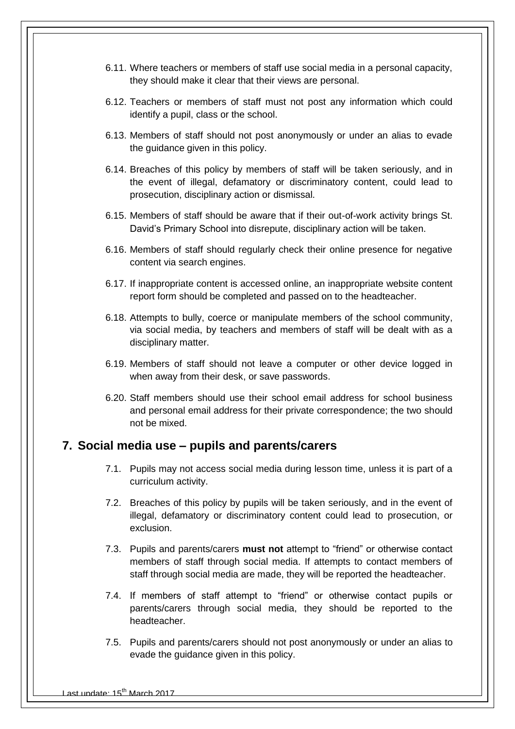- 6.11. Where teachers or members of staff use social media in a personal capacity, they should make it clear that their views are personal.
- 6.12. Teachers or members of staff must not post any information which could identify a pupil, class or the school.
- 6.13. Members of staff should not post anonymously or under an alias to evade the quidance given in this policy.
- 6.14. Breaches of this policy by members of staff will be taken seriously, and in the event of illegal, defamatory or discriminatory content, could lead to prosecution, disciplinary action or dismissal.
- 6.15. Members of staff should be aware that if their out-of-work activity brings St. David"s Primary School into disrepute, disciplinary action will be taken.
- 6.16. Members of staff should regularly check their online presence for negative content via search engines.
- 6.17. If inappropriate content is accessed online, an inappropriate website content report form should be completed and passed on to the headteacher.
- 6.18. Attempts to bully, coerce or manipulate members of the school community, via social media, by teachers and members of staff will be dealt with as a disciplinary matter.
- 6.19. Members of staff should not leave a computer or other device logged in when away from their desk, or save passwords.
- 6.20. Staff members should use their school email address for school business and personal email address for their private correspondence; the two should not be mixed.

#### <span id="page-5-0"></span>**7. Social media use – pupils and parents/carers**

- 7.1. Pupils may not access social media during lesson time, unless it is part of a curriculum activity.
- 7.2. Breaches of this policy by pupils will be taken seriously, and in the event of illegal, defamatory or discriminatory content could lead to prosecution, or exclusion.
- 7.3. Pupils and parents/carers **must not** attempt to "friend" or otherwise contact members of staff through social media. If attempts to contact members of staff through social media are made, they will be reported the headteacher.
- 7.4. If members of staff attempt to "friend" or otherwise contact pupils or parents/carers through social media, they should be reported to the headteacher.
- 7.5. Pupils and parents/carers should not post anonymously or under an alias to evade the guidance given in this policy.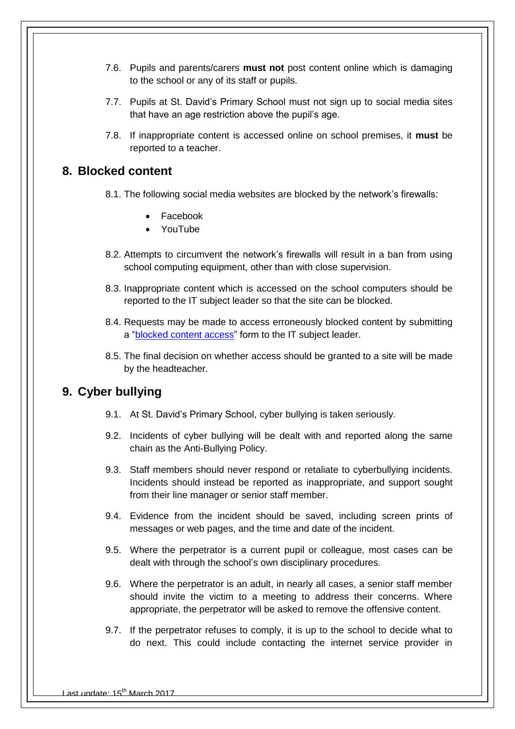- 7.6. Pupils and parents/carers **must not** post content online which is damaging to the school or any of its staff or pupils.
- 7.7. Pupils at St. David"s Primary School must not sign up to social media sites that have an age restriction above the pupil"s age.
- 7.8. If inappropriate content is accessed online on school premises, it **must** be reported to a teacher.

#### <span id="page-6-0"></span>**8. Blocked content**

- 8.1. The following social media websites are blocked by the network's firewalls:
	- Facebook
	- YouTube
- 8.2. Attempts to circumvent the network"s firewalls will result in a ban from using school computing equipment, other than with close supervision.
- 8.3. Inappropriate content which is accessed on the school computers should be reported to the IT subject leader so that the site can be blocked.
- 8.4. Requests may be made to access erroneously blocked content by submitting a ["blocked content access"](#page-8-0) form to the IT subject leader.
- 8.5. The final decision on whether access should be granted to a site will be made by the headteacher.

#### <span id="page-6-1"></span>**9. Cyber bullying**

- 9.1. At St. David"s Primary School, cyber bullying is taken seriously.
- 9.2. Incidents of cyber bullying will be dealt with and reported along the same chain as the Anti-Bullying Policy.
- 9.3. Staff members should never respond or retaliate to cyberbullying incidents. Incidents should instead be reported as inappropriate, and support sought from their line manager or senior staff member.
- 9.4. Evidence from the incident should be saved, including screen prints of messages or web pages, and the time and date of the incident.
- 9.5. Where the perpetrator is a current pupil or colleague, most cases can be dealt with through the school"s own disciplinary procedures.
- 9.6. Where the perpetrator is an adult, in nearly all cases, a senior staff member should invite the victim to a meeting to address their concerns. Where appropriate, the perpetrator will be asked to remove the offensive content.
- 9.7. If the perpetrator refuses to comply, it is up to the school to decide what to do next. This could include contacting the internet service provider in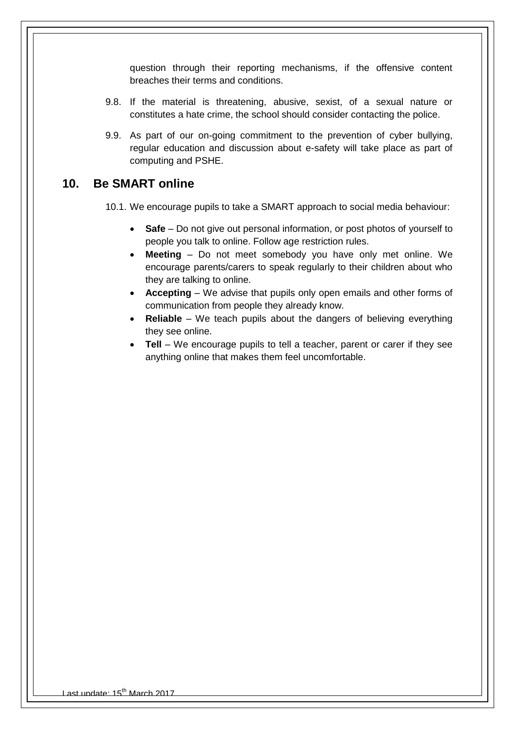question through their reporting mechanisms, if the offensive content breaches their terms and conditions.

- 9.8. If the material is threatening, abusive, sexist, of a sexual nature or constitutes a hate crime, the school should consider contacting the police.
- 9.9. As part of our on-going commitment to the prevention of cyber bullying, regular education and discussion about e-safety will take place as part of computing and PSHE.

#### <span id="page-7-0"></span>**10. Be SMART online**

10.1. We encourage pupils to take a SMART approach to social media behaviour:

- **Safe** Do not give out personal information, or post photos of yourself to people you talk to online. Follow age restriction rules.
- **Meeting** Do not meet somebody you have only met online. We encourage parents/carers to speak regularly to their children about who they are talking to online.
- **Accepting** We advise that pupils only open emails and other forms of communication from people they already know.
- **Reliable** We teach pupils about the dangers of believing everything they see online.
- **Tell** We encourage pupils to tell a teacher, parent or carer if they see anything online that makes them feel uncomfortable.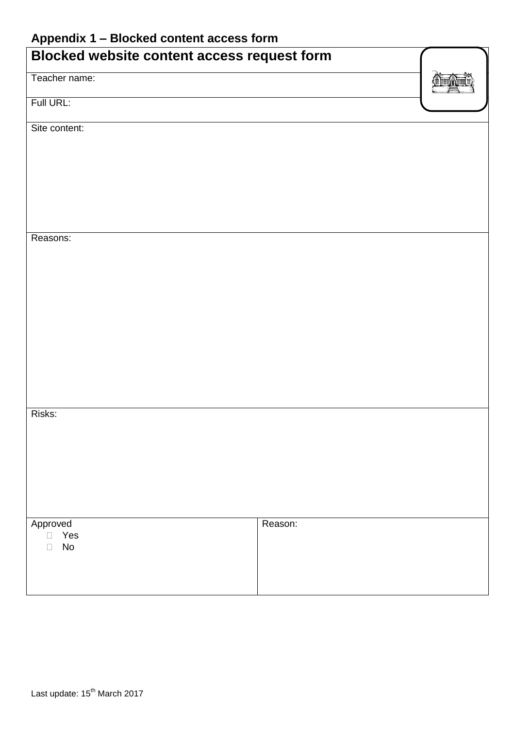## <span id="page-8-0"></span>**Appendix 1 – Blocked content access form**

<span id="page-8-1"></span>

| . .<br><b>Blocked website content access request form</b> |         |  |
|-----------------------------------------------------------|---------|--|
| Teacher name:                                             |         |  |
| Full URL:                                                 |         |  |
| Site content:                                             |         |  |
|                                                           |         |  |
|                                                           |         |  |
|                                                           |         |  |
| Reasons:                                                  |         |  |
|                                                           |         |  |
|                                                           |         |  |
|                                                           |         |  |
|                                                           |         |  |
|                                                           |         |  |
|                                                           |         |  |
|                                                           |         |  |
| Risks:                                                    |         |  |
|                                                           |         |  |
|                                                           |         |  |
|                                                           |         |  |
| Approved<br>Yes<br>$\Box$                                 | Reason: |  |
| $\operatorname{\mathsf{No}}$<br>$\Box$                    |         |  |
|                                                           |         |  |
|                                                           |         |  |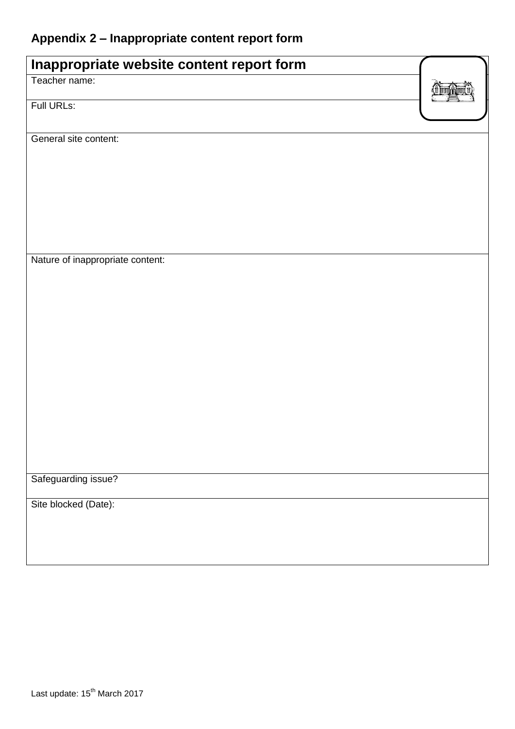# **Appendix 2 – Inappropriate content report form**

| Inappropriate website content report form |  |
|-------------------------------------------|--|
| Teacher name:                             |  |
| Full URLs:                                |  |
| General site content:                     |  |
|                                           |  |
|                                           |  |
|                                           |  |
|                                           |  |
|                                           |  |
| Nature of inappropriate content:          |  |
|                                           |  |
|                                           |  |
|                                           |  |
|                                           |  |
|                                           |  |
|                                           |  |
|                                           |  |
|                                           |  |
|                                           |  |
| Safeguarding issue?                       |  |
| Site blocked (Date):                      |  |
|                                           |  |
|                                           |  |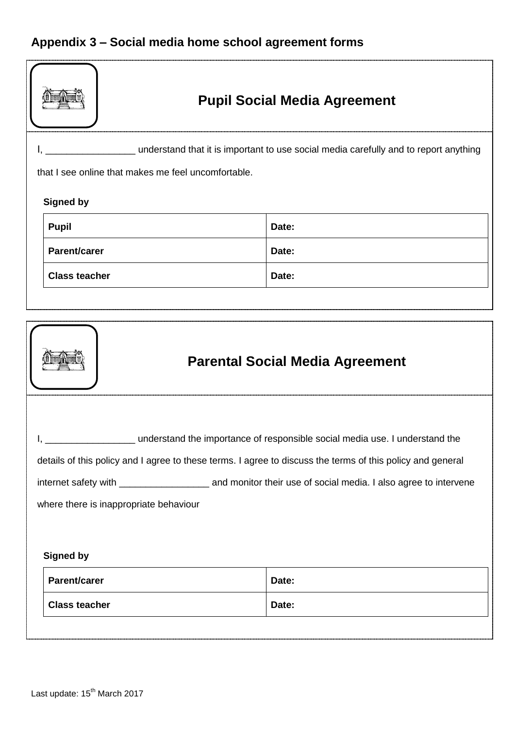# <span id="page-10-0"></span>**Appendix 3 – Social media home school agreement forms**

|                                                                                                                                                                                                                                     | <b>Pupil Social Media Agreement</b>                 |                                                                                      |  |  |
|-------------------------------------------------------------------------------------------------------------------------------------------------------------------------------------------------------------------------------------|-----------------------------------------------------|--------------------------------------------------------------------------------------|--|--|
|                                                                                                                                                                                                                                     |                                                     | understand that it is important to use social media carefully and to report anything |  |  |
|                                                                                                                                                                                                                                     | that I see online that makes me feel uncomfortable. |                                                                                      |  |  |
|                                                                                                                                                                                                                                     |                                                     |                                                                                      |  |  |
|                                                                                                                                                                                                                                     | <b>Signed by</b>                                    |                                                                                      |  |  |
|                                                                                                                                                                                                                                     | <b>Pupil</b>                                        | Date:                                                                                |  |  |
|                                                                                                                                                                                                                                     | Parent/carer                                        | Date:                                                                                |  |  |
|                                                                                                                                                                                                                                     | <b>Class teacher</b>                                | Date:                                                                                |  |  |
|                                                                                                                                                                                                                                     |                                                     |                                                                                      |  |  |
|                                                                                                                                                                                                                                     |                                                     |                                                                                      |  |  |
| <b>Parental Social Media Agreement</b>                                                                                                                                                                                              |                                                     |                                                                                      |  |  |
| understand the importance of responsible social media use. I understand the<br>details of this policy and I agree to these terms. I agree to discuss the terms of this policy and general<br>where there is inappropriate behaviour |                                                     |                                                                                      |  |  |
| <b>Signed by</b>                                                                                                                                                                                                                    |                                                     |                                                                                      |  |  |
|                                                                                                                                                                                                                                     | Parent/carer                                        | Date:                                                                                |  |  |
|                                                                                                                                                                                                                                     | <b>Class teacher</b>                                | Date:                                                                                |  |  |
|                                                                                                                                                                                                                                     |                                                     |                                                                                      |  |  |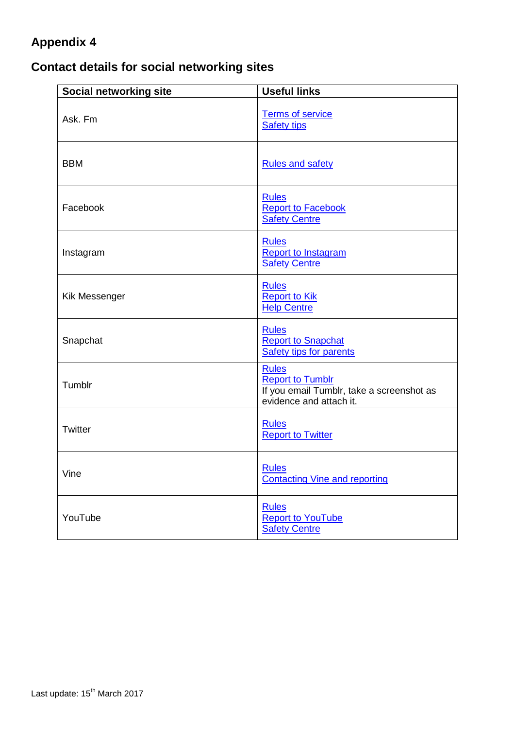## <span id="page-11-0"></span>**Appendix 4**

# **Contact details for social networking sites**

| Social networking site | <b>Useful links</b>                                                                                             |
|------------------------|-----------------------------------------------------------------------------------------------------------------|
| Ask. Fm                | <b>Terms of service</b><br><b>Safety tips</b>                                                                   |
| <b>BBM</b>             | <b>Rules and safety</b>                                                                                         |
| Facebook               | <b>Rules</b><br><b>Report to Facebook</b><br><b>Safety Centre</b>                                               |
| Instagram              | <b>Rules</b><br><b>Report to Instagram</b><br><b>Safety Centre</b>                                              |
| Kik Messenger          | <b>Rules</b><br><b>Report to Kik</b><br><b>Help Centre</b>                                                      |
| Snapchat               | <b>Rules</b><br><b>Report to Snapchat</b><br><b>Safety tips for parents</b>                                     |
| Tumblr                 | <b>Rules</b><br><b>Report to Tumblr</b><br>If you email Tumblr, take a screenshot as<br>evidence and attach it. |
| Twitter                | <b>Rules</b><br><b>Report to Twitter</b>                                                                        |
| Vine                   | <b>Rules</b><br><b>Contacting Vine and reporting</b>                                                            |
| YouTube                | <b>Rules</b><br><b>Report to YouTube</b><br><b>Safety Centre</b>                                                |